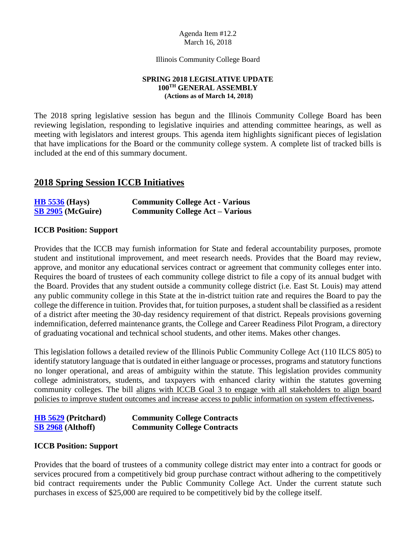#### Agenda Item #12.2 March 16, 2018

Illinois Community College Board

#### **SPRING 2018 LEGISLATIVE UPDATE 100TH GENERAL ASSEMBLY (Actions as of March 14, 2018)**

The 2018 spring legislative session has begun and the Illinois Community College Board has been reviewing legislation, responding to legislative inquiries and attending committee hearings, as well as meeting with legislators and interest groups. This agenda item highlights significant pieces of legislation that have implications for the Board or the community college system. A complete list of tracked bills is included at the end of this summary document.

# **2018 Spring Session ICCB Initiatives**

| <b>HB 5536 (Hays)</b>    | <b>Community College Act - Various</b> |
|--------------------------|----------------------------------------|
| <b>SB 2905 (McGuire)</b> | <b>Community College Act – Various</b> |

## **ICCB Position: Support**

Provides that the ICCB may furnish information for State and federal accountability purposes, promote student and institutional improvement, and meet research needs. Provides that the Board may review, approve, and monitor any educational services contract or agreement that community colleges enter into. Requires the board of trustees of each community college district to file a copy of its annual budget with the Board. Provides that any student outside a community college district (i.e. East St. Louis) may attend any public community college in this State at the in-district tuition rate and requires the Board to pay the college the difference in tuition. Provides that, for tuition purposes, a student shall be classified as a resident of a district after meeting the 30-day residency requirement of that district. Repeals provisions governing indemnification, deferred maintenance grants, the College and Career Readiness Pilot Program, a directory of graduating vocational and technical school students, and other items. Makes other changes.

This legislation follows a detailed review of the Illinois Public Community College Act (110 ILCS 805) to identify statutory language that is outdated in either language or processes, programs and statutory functions no longer operational, and areas of ambiguity within the statute. This legislation provides community college administrators, students, and taxpayers with enhanced clarity within the statutes governing community colleges. The bill aligns with ICCB Goal 3 to engage with all stakeholders to align board policies to improve student outcomes and increase access to public information on system effectiveness**.** 

| <b>HB</b> 5629 (Pritchard) | <b>Community College Contracts</b> |
|----------------------------|------------------------------------|
| <b>SB 2968 (Althoff)</b>   | <b>Community College Contracts</b> |

## **ICCB Position: Support**

Provides that the board of trustees of a community college district may enter into a contract for goods or services procured from a competitively bid group purchase contract without adhering to the competitively bid contract requirements under the Public Community College Act. Under the current statute such purchases in excess of \$25,000 are required to be competitively bid by the college itself.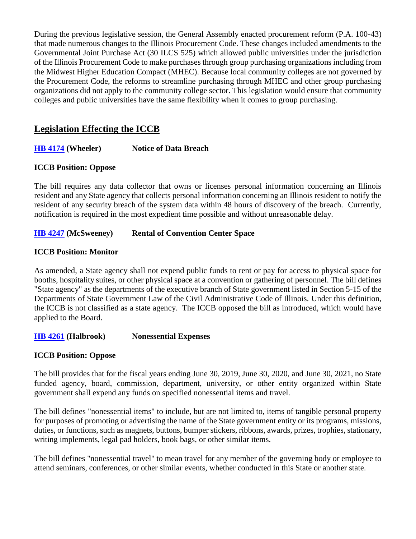During the previous legislative session, the General Assembly enacted procurement reform (P.A. 100-43) that made numerous changes to the Illinois Procurement Code. These changes included amendments to the Governmental Joint Purchase Act (30 ILCS 525) which allowed public universities under the jurisdiction of the Illinois Procurement Code to make purchases through group purchasing organizations including from the Midwest Higher Education Compact (MHEC). Because local community colleges are not governed by the Procurement Code, the reforms to streamline purchasing through MHEC and other group purchasing organizations did not apply to the community college sector. This legislation would ensure that community colleges and public universities have the same flexibility when it comes to group purchasing.

# **Legislation Effecting the ICCB**

## **[HB 4174](http://www.ilga.gov/legislation/billstatus.asp?DocNum=4174&GAID=14&GA=100&DocTypeID=HB&LegID=108383&SessionID=91) (Wheeler) Notice of Data Breach**

## **ICCB Position: Oppose**

The bill requires any data collector that owns or licenses personal information concerning an Illinois resident and any State agency that collects personal information concerning an Illinois resident to notify the resident of any security breach of the system data within 48 hours of discovery of the breach. Currently, notification is required in the most expedient time possible and without unreasonable delay.

## **[HB 4247](http://www.ilga.gov/legislation/billstatus.asp?DocNum=4247&GAID=14&GA=100&DocTypeID=HB&LegID=108691&SessionID=91) (McSweeney) Rental of Convention Center Space**

## **ICCB Position: Monitor**

As amended, a State agency shall not expend public funds to rent or pay for access to physical space for booths, hospitality suites, or other physical space at a convention or gathering of personnel. The bill defines "State agency" as the departments of the executive branch of State government listed in Section 5-15 of the Departments of State Government Law of the Civil Administrative Code of Illinois. Under this definition, the ICCB is not classified as a state agency. The ICCB opposed the bill as introduced, which would have applied to the Board.

**[HB 4261](http://www.ilga.gov/legislation/billstatus.asp?DocNum=4261&GAID=14&GA=100&DocTypeID=HB&LegID=108712&SessionID=91) (Halbrook) Nonessential Expenses**

## **ICCB Position: Oppose**

The bill provides that for the fiscal years ending June 30, 2019, June 30, 2020, and June 30, 2021, no State funded agency, board, commission, department, university, or other entity organized within State government shall expend any funds on specified nonessential items and travel.

The bill defines "nonessential items" to include, but are not limited to, items of tangible personal property for purposes of promoting or advertising the name of the State government entity or its programs, missions, duties, or functions, such as magnets, buttons, bumper stickers, ribbons, awards, prizes, trophies, stationary, writing implements, legal pad holders, book bags, or other similar items.

The bill defines "nonessential travel" to mean travel for any member of the governing body or employee to attend seminars, conferences, or other similar events, whether conducted in this State or another state.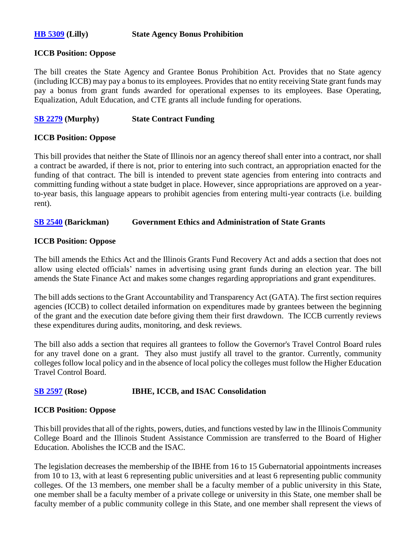#### **[HB 5309](http://www.ilga.gov/legislation/billstatus.asp?DocNum=5309&GAID=14&GA=100&DocTypeID=HB&LegID=111089&SessionID=91) (Lilly) State Agency Bonus Prohibition**

#### **ICCB Position: Oppose**

The bill creates the State Agency and Grantee Bonus Prohibition Act. Provides that no State agency (including ICCB) may pay a bonus to its employees. Provides that no entity receiving State grant funds may pay a bonus from grant funds awarded for operational expenses to its employees. Base Operating, Equalization, Adult Education, and CTE grants all include funding for operations.

## **[SB 2279](http://www.ilga.gov/legislation/fulltext.asp?DocName=&SessionId=91&GA=100&DocTypeId=SB&DocNum=2279&GAID=14&LegID=108498&SpecSess=&Session=) (Murphy) State Contract Funding**

## **ICCB Position: Oppose**

This bill provides that neither the State of Illinois nor an agency thereof shall enter into a contract, nor shall a contract be awarded, if there is not, prior to entering into such contract, an appropriation enacted for the funding of that contract. The bill is intended to prevent state agencies from entering into contracts and committing funding without a state budget in place. However, since appropriations are approved on a yearto-year basis, this language appears to prohibit agencies from entering multi-year contracts (i.e. building rent).

## **[SB 2540](http://www.ilga.gov/legislation/billstatus.asp?DocNum=2540&GAID=14&GA=100&DocTypeID=SB&LegID=109389&SessionID=91) (Barickman) Government Ethics and Administration of State Grants**

## **ICCB Position: Oppose**

The bill amends the Ethics Act and the Illinois Grants Fund Recovery Act and adds a section that does not allow using elected officials' names in advertising using grant funds during an election year. The bill amends the State Finance Act and makes some changes regarding appropriations and grant expenditures.

The bill adds sections to the Grant Accountability and Transparency Act (GATA). The first section requires agencies (ICCB) to collect detailed information on expenditures made by grantees between the beginning of the grant and the execution date before giving them their first drawdown. The ICCB currently reviews these expenditures during audits, monitoring, and desk reviews.

The bill also adds a section that requires all grantees to follow the Governor's Travel Control Board rules for any travel done on a grant. They also must justify all travel to the grantor. Currently, community colleges follow local policy and in the absence of local policy the colleges must follow the Higher Education Travel Control Board.

## **[SB 2597](http://www.ilga.gov/legislation/billstatus.asp?DocNum=2597&GAID=14&GA=100&DocTypeID=SB&LegID=109628&SessionID=91) (Rose) IBHE, ICCB, and ISAC Consolidation**

## **ICCB Position: Oppose**

This bill provides that all of the rights, powers, duties, and functions vested by law in the Illinois Community College Board and the Illinois Student Assistance Commission are transferred to the Board of Higher Education. Abolishes the ICCB and the ISAC.

The legislation decreases the membership of the IBHE from 16 to 15 Gubernatorial appointments increases from 10 to 13, with at least 6 representing public universities and at least 6 representing public community colleges. Of the 13 members, one member shall be a faculty member of a public university in this State, one member shall be a faculty member of a private college or university in this State, one member shall be faculty member of a public community college in this State, and one member shall represent the views of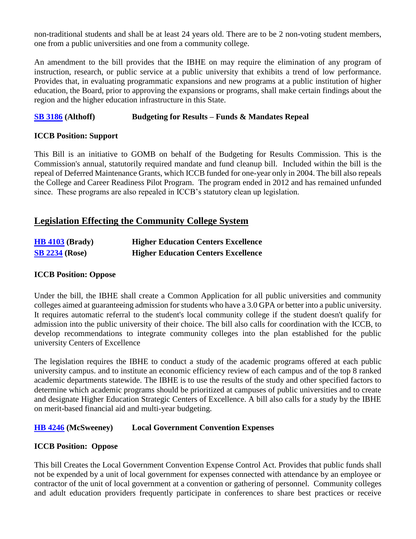non-traditional students and shall be at least 24 years old. There are to be 2 non-voting student members, one from a public universities and one from a community college.

An amendment to the bill provides that the IBHE on may require the elimination of any program of instruction, research, or public service at a public university that exhibits a trend of low performance. Provides that, in evaluating programmatic expansions and new programs at a public institution of higher education, the Board, prior to approving the expansions or programs, shall make certain findings about the region and the higher education infrastructure in this State.

## **[SB 3186](http://www.ilga.gov/legislation/billstatus.asp?DocNum=3186&GAID=14&GA=100&DocTypeID=SB&LegID=110866&SessionID=91) (Althoff) Budgeting for Results – Funds & Mandates Repeal**

## **ICCB Position: Support**

This Bill is an initiative to GOMB on behalf of the Budgeting for Results Commission. This is the Commission's annual, statutorily required mandate and fund cleanup bill. Included within the bill is the repeal of Deferred Maintenance Grants, which ICCB funded for one-year only in 2004. The bill also repeals the College and Career Readiness Pilot Program. The program ended in 2012 and has remained unfunded since. These programs are also repealed in ICCB's statutory clean up legislation.

# **Legislation Effecting the Community College System**

| $\overline{HB}$ 4103 (Brady) | <b>Higher Education Centers Excellence</b> |
|------------------------------|--------------------------------------------|
| <b>SB 2234 (Rose)</b>        | <b>Higher Education Centers Excellence</b> |

## **ICCB Position: Oppose**

Under the bill, the IBHE shall create a Common Application for all public universities and community colleges aimed at guaranteeing admission for students who have a 3.0 GPA or better into a public university. It requires automatic referral to the student's local community college if the student doesn't qualify for admission into the public university of their choice. The bill also calls for coordination with the ICCB, to develop recommendations to integrate community colleges into the plan established for the public university Centers of Excellence

The legislation requires the IBHE to conduct a study of the academic programs offered at each public university campus. and to institute an economic efficiency review of each campus and of the top 8 ranked academic departments statewide. The IBHE is to use the results of the study and other specified factors to determine which academic programs should be prioritized at campuses of public universities and to create and designate Higher Education Strategic Centers of Excellence. A bill also calls for a study by the IBHE on merit-based financial aid and multi-year budgeting.

## **[HB 4246](http://www.ilga.gov/legislation/billstatus.asp?DocNum=4246&GAID=14&GA=100&DocTypeID=HB&LegID=108690&SessionID=91) (McSweeney) Local Government Convention Expenses**

## **ICCB Position: Oppose**

This bill Creates the Local Government Convention Expense Control Act. Provides that public funds shall not be expended by a unit of local government for expenses connected with attendance by an employee or contractor of the unit of local government at a convention or gathering of personnel. Community colleges and adult education providers frequently participate in conferences to share best practices or receive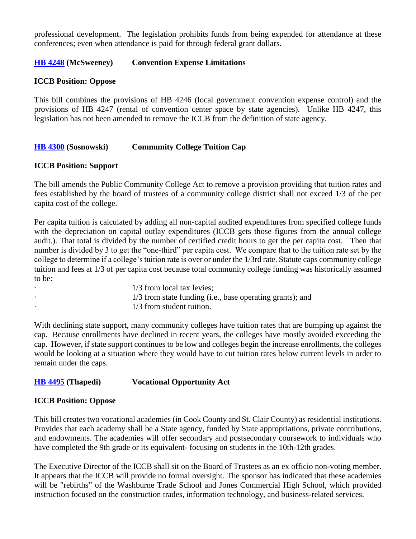professional development. The legislation prohibits funds from being expended for attendance at these conferences; even when attendance is paid for through federal grant dollars.

## **[HB 4248](http://www.ilga.gov/legislation/billstatus.asp?DocNum=4248&GAID=14&GA=100&DocTypeID=HB&LegID=108692&SessionID=91) (McSweeney) Convention Expense Limitations**

## **ICCB Position: Oppose**

This bill combines the provisions of HB 4246 (local government convention expense control) and the provisions of HB 4247 (rental of convention center space by state agencies). Unlike HB 4247, this legislation has not been amended to remove the ICCB from the definition of state agency.

## **[HB 4300](http://www.ilga.gov/legislation/billstatus.asp?DocNum=4300&GAID=14&GA=100&DocTypeID=HB&LegID=108822&SessionID=91) (Sosnowski) Community College Tuition Cap**

## **ICCB Position: Support**

The bill amends the Public Community College Act to remove a provision providing that tuition rates and fees established by the board of trustees of a community college district shall not exceed 1/3 of the per capita cost of the college.

Per capita tuition is calculated by adding all non-capital audited expenditures from specified college funds with the depreciation on capital outlay expenditures (ICCB gets those figures from the annual college audit.). That total is divided by the number of certified credit hours to get the per capita cost. Then that number is divided by 3 to get the "one-third" per capita cost. We compare that to the tuition rate set by the college to determine if a college's tuition rate is over or under the 1/3rd rate. Statute caps community college tuition and fees at 1/3 of per capita cost because total community college funding was historically assumed to be:

1/3 from local tax levies;  $1/3$  from state funding (i.e., base operating grants); and 1/3 from student tuition.

With declining state support, many community colleges have tuition rates that are bumping up against the cap. Because enrollments have declined in recent years, the colleges have mostly avoided exceeding the cap. However, if state support continues to be low and colleges begin the increase enrollments, the colleges would be looking at a situation where they would have to cut tuition rates below current levels in order to remain under the caps.

## **[HB 4495](http://www.ilga.gov/legislation/billstatus.asp?DocNum=4495&GAID=14&GA=100&DocTypeID=HB&LegID=109342&SessionID=91) (Thapedi) Vocational Opportunity Act**

## **ICCB Position: Oppose**

This bill creates two vocational academies (in Cook County and St. Clair County) as residential institutions. Provides that each academy shall be a State agency, funded by State appropriations, private contributions, and endowments. The academies will offer secondary and postsecondary coursework to individuals who have completed the 9th grade or its equivalent- focusing on students in the 10th-12th grades.

The Executive Director of the ICCB shall sit on the Board of Trustees as an ex officio non-voting member. It appears that the ICCB will provide no formal oversight. The sponsor has indicated that these academies will be "rebirths" of the Washburne Trade School and Jones Commercial High School, which provided instruction focused on the construction trades, information technology, and business-related services.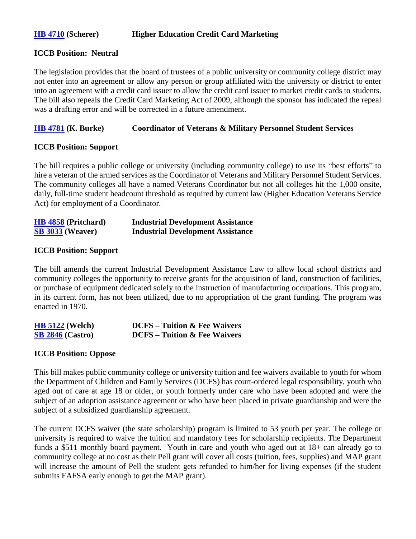## **[HB 4710](http://www.ilga.gov/legislation/billstatus.asp?DocNum=4710&GAID=14&GA=100&DocTypeID=HB&LegID=109939&SessionID=91) (Scherer) Higher Education Credit Card Marketing**

#### **ICCB Position: Neutral**

The legislation provides that the board of trustees of a public university or community college district may not enter into an agreement or allow any person or group affiliated with the university or district to enter into an agreement with a credit card issuer to allow the credit card issuer to market credit cards to students. The bill also repeals the Credit Card Marketing Act of 2009, although the sponsor has indicated the repeal was a drafting error and will be corrected in a future amendment.

## **[HB 4781](http://www.ilga.gov/legislation/billstatus.asp?DocNum=4781&GAID=14&GA=100&DocTypeID=HB&LegID=110090&SessionID=91) (K. Burke) Coordinator of Veterans & Military Personnel Student Services**

## **ICCB Position: Support**

The bill requires a public college or university (including community college) to use its "best efforts" to hire a veteran of the armed services as the Coordinator of Veterans and Military Personnel Student Services. The community colleges all have a named Veterans Coordinator but not all colleges hit the 1,000 onsite, daily, full-time student headcount threshold as required by current law (Higher Education Veterans Service Act) for employment of a Coordinator.

| <b>HB</b> 4858 (Pritchard) | <b>Industrial Development Assistance</b> |
|----------------------------|------------------------------------------|
| <b>SB 3033 (Weaver)</b>    | <b>Industrial Development Assistance</b> |

#### **ICCB Position: Support**

The bill amends the current Industrial Development Assistance Law to allow local school districts and community colleges the opportunity to receive grants for the acquisition of land, construction of facilities, or purchase of equipment dedicated solely to the instruction of manufacturing occupations. This program, in its current form, has not been utilized, due to no appropriation of the grant funding. The program was enacted in 1970.

| <b>HB 5122</b> (Welch)                       | <b>DCFS</b> – Tuition & Fee Waivers |
|----------------------------------------------|-------------------------------------|
| $\frac{\textbf{SB}}{\textbf{2846}}$ (Castro) | <b>DCFS</b> – Tuition & Fee Waivers |

## **ICCB Position: Oppose**

This bill makes public community college or university tuition and fee waivers available to youth for whom the Department of Children and Family Services (DCFS) has court-ordered legal responsibility, youth who aged out of care at age 18 or older, or youth formerly under care who have been adopted and were the subject of an adoption assistance agreement or who have been placed in private guardianship and were the subject of a subsidized guardianship agreement.

The current DCFS waiver (the state scholarship) program is limited to 53 youth per year. The college or university is required to waive the tuition and mandatory fees for scholarship recipients. The Department funds a \$511 monthly board payment. Youth in care and youth who aged out at 18+ can already go to community college at no cost as their Pell grant will cover all costs (tuition, fees, supplies) and MAP grant will increase the amount of Pell the student gets refunded to him/her for living expenses (if the student submits FAFSA early enough to get the MAP grant).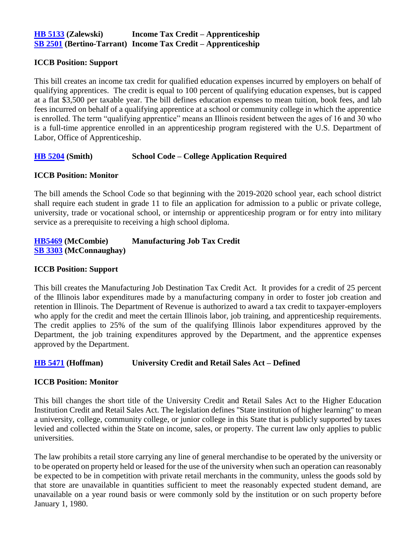## **[HB 5133](http://www.ilga.gov/legislation/billstatus.asp?DocNum=5133&GAID=14&GA=100&DocTypeID=HB&LegID=110755&SessionID=91) (Zalewski) Income Tax Credit – Apprenticeship [SB 2501](http://www.ilga.gov/legislation/billstatus.asp?DocNum=2501&GAID=14&GA=100&DocTypeID=SB&LegID=109255&SessionID=91) (Bertino-Tarrant) Income Tax Credit – Apprenticeship**

#### **ICCB Position: Support**

This bill creates an income tax credit for qualified education expenses incurred by employers on behalf of qualifying apprentices. The credit is equal to 100 percent of qualifying education expenses, but is capped at a flat \$3,500 per taxable year. The bill defines education expenses to mean tuition, book fees, and lab fees incurred on behalf of a qualifying apprentice at a school or community college in which the apprentice is enrolled. The term "qualifying apprentice" means an Illinois resident between the ages of 16 and 30 who is a full-time apprentice enrolled in an apprenticeship program registered with the U.S. Department of Labor, Office of Apprenticeship.

## **[HB 5204](http://www.ilga.gov/legislation/billstatus.asp?DocNum=5204&GAID=14&GA=100&DocTypeID=HB&LegID=110881&SessionID=91) (Smith) School Code – College Application Required**

## **ICCB Position: Monitor**

The bill amends the School Code so that beginning with the 2019-2020 school year, each school district shall require each student in grade 11 to file an application for admission to a public or private college, university, trade or vocational school, or internship or apprenticeship program or for entry into military service as a prerequisite to receiving a high school diploma.

## **[HB5469](http://www.ilga.gov/legislation/billstatus.asp?DocNum=5469&GAID=14&GA=100&DocTypeID=HB&LegID=111380&SessionID=91) (McCombie) Manufacturing Job Tax Credit [SB 3303](http://www.ilga.gov/legislation/billstatus.asp?DocNum=3303&GAID=14&GA=100&DocTypeID=SB&LegID=111147&SessionID=91) (McConnaughay)**

#### **ICCB Position: Support**

This bill creates the Manufacturing Job Destination Tax Credit Act. It provides for a credit of 25 percent of the Illinois labor expenditures made by a manufacturing company in order to foster job creation and retention in Illinois. The Department of Revenue is authorized to award a tax credit to taxpayer-employers who apply for the credit and meet the certain Illinois labor, job training, and apprenticeship requirements. The credit applies to 25% of the sum of the qualifying Illinois labor expenditures approved by the Department, the job training expenditures approved by the Department, and the apprentice expenses approved by the Department.

## **[HB 5471](http://www.ilga.gov/legislation/billstatus.asp?DocNum=5471&GAID=14&GA=100&DocTypeID=HB&LegID=111382&SessionID=91) (Hoffman) University Credit and Retail Sales Act – Defined**

## **ICCB Position: Monitor**

This bill changes the short title of the University Credit and Retail Sales Act to the Higher Education Institution Credit and Retail Sales Act. The legislation defines "State institution of higher learning" to mean a university, college, community college, or junior college in this State that is publicly supported by taxes levied and collected within the State on income, sales, or property. The current law only applies to public universities.

The law prohibits a retail store carrying any line of general merchandise to be operated by the university or to be operated on property held or leased for the use of the university when such an operation can reasonably be expected to be in competition with private retail merchants in the community, unless the goods sold by that store are unavailable in quantities sufficient to meet the reasonably expected student demand, are unavailable on a year round basis or were commonly sold by the institution or on such property before January 1, 1980.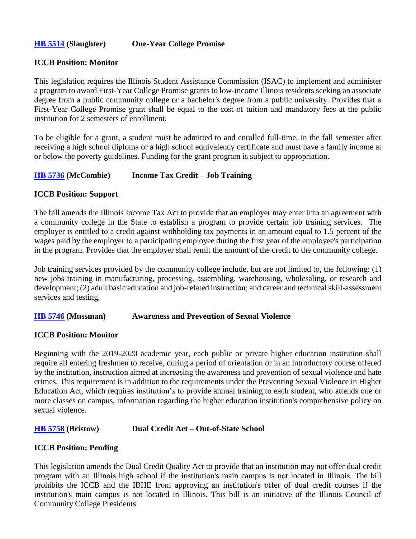## **[HB 5514](http://www.ilga.gov/legislation/billstatus.asp?DocNum=5514&GAID=14&GA=100&DocTypeID=HB&LegID=111478&SessionID=91) (Slaughter) One-Year College Promise**

## **ICCB Position: Monitor**

This legislation requires the Illinois Student Assistance Commission (ISAC) to implement and administer a program to award First-Year College Promise grants to low-income Illinois residents seeking an associate degree from a public community college or a bachelor's degree from a public university. Provides that a First-Year College Promise grant shall be equal to the cost of tuition and mandatory fees at the public institution for 2 semesters of enrollment.

To be eligible for a grant, a student must be admitted to and enrolled full-time, in the fall semester after receiving a high school diploma or a high school equivalency certificate and must have a family income at or below the poverty guidelines. Funding for the grant program is subject to appropriation.

## **[HB 5736](http://www.ilga.gov/legislation/billstatus.asp?DocNum=5736&GAID=14&GA=100&DocTypeID=HB&LegID=111827&SessionID=91) (McCombie) Income Tax Credit – Job Training**

#### **ICCB Position: Support**

The bill amends the Illinois Income Tax Act to provide that an employer may enter into an agreement with a community college in the State to establish a program to provide certain job training services. The employer is entitled to a credit against withholding tax payments in an amount equal to 1.5 percent of the wages paid by the employer to a participating employee during the first year of the employee's participation in the program. Provides that the employer shall remit the amount of the credit to the community college.

Job training services provided by the community college include, but are not limited to, the following: (1) new jobs training in manufacturing, processing, assembling, warehousing, wholesaling, or research and development; (2) adult basic education and job-related instruction; and career and technical skill-assessment services and testing.

#### **[HB 5746](http://www.ilga.gov/legislation/billstatus.asp?DocNum=5746&GAID=14&GA=100&DocTypeID=HB&LegID=111837&SessionID=91) (Mussman) Awareness and Prevention of Sexual Violence**

## **ICCB Position: Monitor**

Beginning with the 2019-2020 academic year, each public or private higher education institution shall require all entering freshmen to receive, during a period of orientation or in an introductory course offered by the institution, instruction aimed at increasing the awareness and prevention of sexual violence and hate crimes. This requirement is in addition to the requirements under the Preventing Sexual Violence in Higher Education Act, which requires institution's to provide annual training to each student, who attends one or more classes on campus, information regarding the higher education institution's comprehensive policy on sexual violence.

## **[HB 5758](http://www.ilga.gov/legislation/billstatus.asp?DocNum=5758&GAID=14&GA=100&DocTypeID=HB&LegID=111849&SessionID=91) (Bristow) Dual Credit Act – Out-of-State School**

## **ICCB Position: Pending**

This legislation amends the Dual Credit Quality Act to provide that an institution may not offer dual credit program with an Illinois high school if the institution's main campus is not located in Illinois. The bill prohibits the ICCB and the IBHE from approving an institution's offer of dual credit courses if the institution's main campus is not located in Illinois. This bill is an initiative of the Illinois Council of Community College Presidents.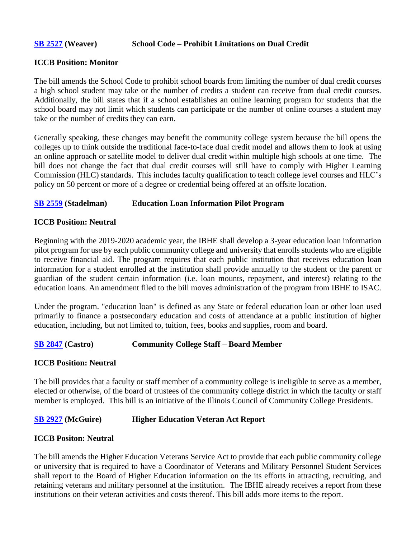#### **[SB 2527](http://www.ilga.gov/legislation/billstatus.asp?DocNum=2527&GAID=14&GA=100&DocTypeID=SB&LegID=109343&SessionID=91) (Weaver) School Code – Prohibit Limitations on Dual Credit**

#### **ICCB Position: Monitor**

The bill amends the School Code to prohibit school boards from limiting the number of dual credit courses a high school student may take or the number of credits a student can receive from dual credit courses. Additionally, the bill states that if a school establishes an online learning program for students that the school board may not limit which students can participate or the number of online courses a student may take or the number of credits they can earn.

Generally speaking, these changes may benefit the community college system because the bill opens the colleges up to think outside the traditional face-to-face dual credit model and allows them to look at using an online approach or satellite model to deliver dual credit within multiple high schools at one time. The bill does not change the fact that dual credit courses will still have to comply with Higher Learning Commission (HLC) standards. This includes faculty qualification to teach college level courses and HLC's policy on 50 percent or more of a degree or credential being offered at an offsite location.

#### **[SB 2559](http://www.ilga.gov/legislation/billstatus.asp?DocNum=2559&GAID=14&GA=100&DocTypeID=SB&LegID=109467&SessionID=91) (Stadelman) Education Loan Information Pilot Program**

## **ICCB Position: Neutral**

Beginning with the 2019-2020 academic year, the IBHE shall develop a 3-year education loan information pilot program for use by each public community college and university that enrolls students who are eligible to receive financial aid. The program requires that each public institution that receives education loan information for a student enrolled at the institution shall provide annually to the student or the parent or guardian of the student certain information (i.e. loan mounts, repayment, and interest) relating to the education loans. An amendment filed to the bill moves administration of the program from IBHE to ISAC.

Under the program. "education loan" is defined as any State or federal education loan or other loan used primarily to finance a postsecondary education and costs of attendance at a public institution of higher education, including, but not limited to, tuition, fees, books and supplies, room and board.

#### **[SB 2847](http://www.ilga.gov/legislation/billstatus.asp?DocNum=2847&GAID=14&GA=100&DocTypeID=SB&LegID=110014&SessionID=91) (Castro) Community College Staff – Board Member**

#### **ICCB Position: Neutral**

The bill provides that a faculty or staff member of a community college is ineligible to serve as a member, elected or otherwise, of the board of trustees of the community college district in which the faculty or staff member is employed. This bill is an initiative of the Illinois Council of Community College Presidents.

## **[SB 2927](http://www.ilga.gov/legislation/billstatus.asp?DocNum=2927&GAID=14&GA=100&DocTypeID=SB&LegID=110236&SessionID=91) (McGuire) Higher Education Veteran Act Report**

#### **ICCB Positon: Neutral**

The bill amends the Higher Education Veterans Service Act to provide that each public community college or university that is required to have a Coordinator of Veterans and Military Personnel Student Services shall report to the Board of Higher Education information on the its efforts in attracting, recruiting, and retaining veterans and military personnel at the institution. The IBHE already receives a report from these institutions on their veteran activities and costs thereof. This bill adds more items to the report.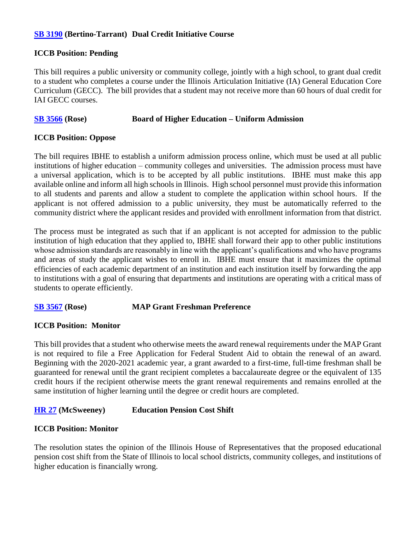## **[SB 3190](http://www.ilga.gov/legislation/billstatus.asp?DocNum=3190&GAID=14&GA=100&DocTypeID=SB&LegID=110870&SessionID=91) (Bertino-Tarrant) Dual Credit Initiative Course**

## **ICCB Position: Pending**

This bill requires a public university or community college, jointly with a high school, to grant dual credit to a student who completes a course under the Illinois Articulation Initiative (IA) General Education Core Curriculum (GECC). The bill provides that a student may not receive more than 60 hours of dual credit for IAI GECC courses.

## **[SB 3566](http://www.ilga.gov/legislation/billstatus.asp?DocNum=3566&GAID=14&GA=100&DocTypeID=SB&LegID=111746&SessionID=91) (Rose) Board of Higher Education – Uniform Admission**

## **ICCB Position: Oppose**

The bill requires IBHE to establish a uniform admission process online, which must be used at all public institutions of higher education – community colleges and universities. The admission process must have a universal application, which is to be accepted by all public institutions. IBHE must make this app available online and inform all high schools in Illinois. High school personnel must provide this information to all students and parents and allow a student to complete the application within school hours. If the applicant is not offered admission to a public university, they must be automatically referred to the community district where the applicant resides and provided with enrollment information from that district.

The process must be integrated as such that if an applicant is not accepted for admission to the public institution of high education that they applied to, IBHE shall forward their app to other public institutions whose admission standards are reasonably in line with the applicant's qualifications and who have programs and areas of study the applicant wishes to enroll in. IBHE must ensure that it maximizes the optimal efficiencies of each academic department of an institution and each institution itself by forwarding the app to institutions with a goal of ensuring that departments and institutions are operating with a critical mass of students to operate efficiently.

## **[SB 3567](http://www.ilga.gov/legislation/fulltext.asp?DocName=&SessionId=91&GA=100&DocTypeId=SB&DocNum=3567&GAID=14&LegID=111752&SpecSess=&Session=) (Rose) MAP Grant Freshman Preference**

## **ICCB Position: Monitor**

This bill provides that a student who otherwise meets the award renewal requirements under the MAP Grant is not required to file a Free Application for Federal Student Aid to obtain the renewal of an award. Beginning with the 2020-2021 academic year, a grant awarded to a first-time, full-time freshman shall be guaranteed for renewal until the grant recipient completes a baccalaureate degree or the equivalent of 135 credit hours if the recipient otherwise meets the grant renewal requirements and remains enrolled at the same institution of higher learning until the degree or credit hours are completed.

## **[HR 27](http://www.ilga.gov/legislation/billstatus.asp?DocNum=27&GAID=14&GA=100&DocTypeID=HR&LegID=99552&SessionID=91) (McSweeney) Education Pension Cost Shift**

## **ICCB Position: Monitor**

The resolution states the opinion of the Illinois House of Representatives that the proposed educational pension cost shift from the State of Illinois to local school districts, community colleges, and institutions of higher education is financially wrong.